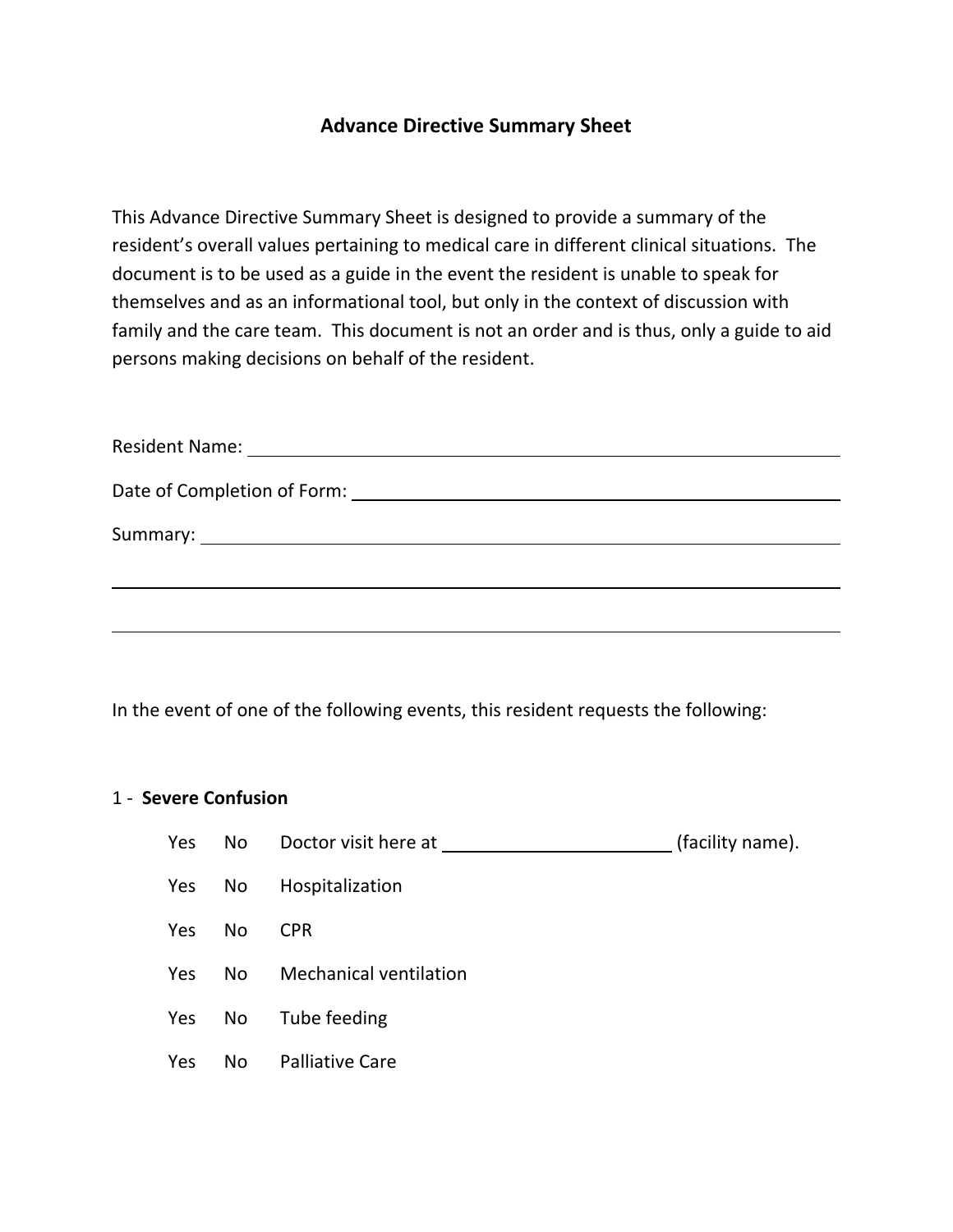## **Advance Directive Summary Sheet**

This Advance Directive Summary Sheet is designed to provide a summary of the resident's overall values pertaining to medical care in different clinical situations. The document is to be used as a guide in the event the resident is unable to speak for themselves and as an informational tool, but only in the context of discussion with family and the care team. This document is not an order and is thus, only a guide to aid persons making decisions on behalf of the resident.

In the event of one of the following events, this resident requests the following:

## 1 ‐ **Severe Confusion**

|     |     |                           | (facility name). |
|-----|-----|---------------------------|------------------|
|     |     | Yes No Hospitalization    |                  |
| Yes | No  | <b>CPR</b>                |                  |
| Yes |     | No Mechanical ventilation |                  |
| Yes | No. | Tube feeding              |                  |
| Yes | No  | <b>Palliative Care</b>    |                  |